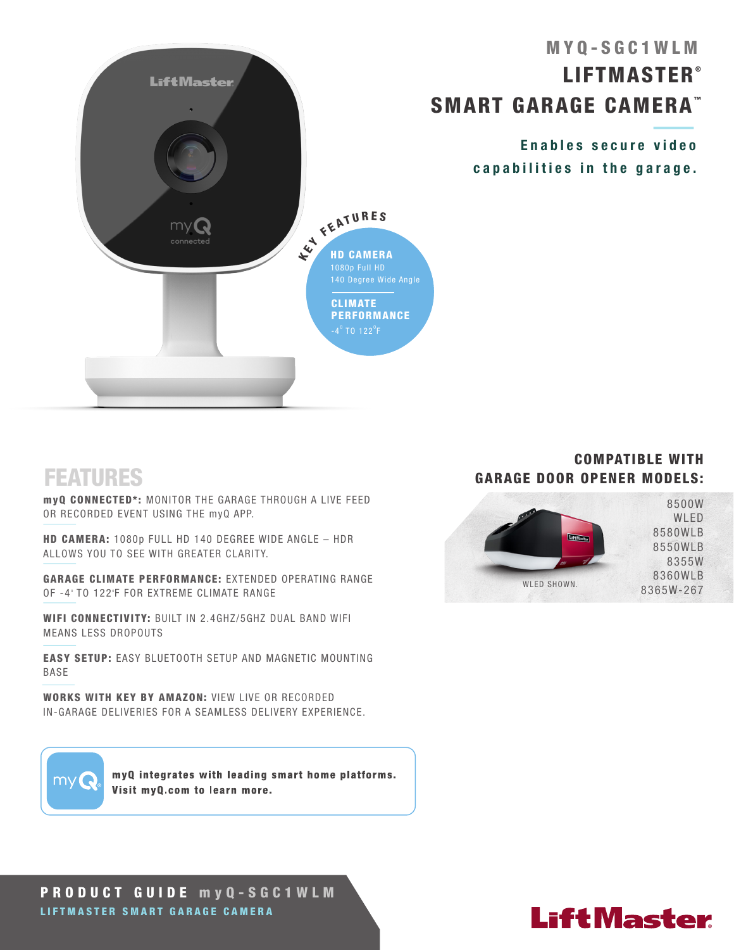

## FEATURES

myQ CONNECTED\*: MONITOR THE GARAGE THROUGH A LIVE FEED OR RECORDED EVENT USING THE myQ APP.

HD CAMERA: 1080p FULL HD 140 DEGREE WIDE ANGLE – HDR ALLOWS YOU TO SEE WITH GREATER CLARITY.

GARAGE CLIMATE PERFORMANCE: EXTENDED OPERATING RANGE OF -4° TO 122°F FOR EXTREME CLIMATE RANGE

WIFI CONNECTIVITY: BUILT IN 2.4GHZ/5GHZ DUAL BAND WIFI MEANS LESS DROPOUTS

EASY SETUP: EASY BLUETOOTH SETUP AND MAGNETIC MOUNTING BASE

WORKS WITH KEY BY AMAZON: VIEW LIVE OR RECORDED IN-GARAGE DELIVERIES FOR A SEAMLESS DELIVERY EXPERIENCE.

# my

myQ integrates with leading smart home platforms. Visit myQ.com to learn more.

#### COMPATIBLE WITH GARAGE DOOR OPENER MODELS:



#### PRODUCT GUIDE m y Q-SGC1WLM LIFTMASTER SMART GARAGE CAMERA

# **LiftMaster**